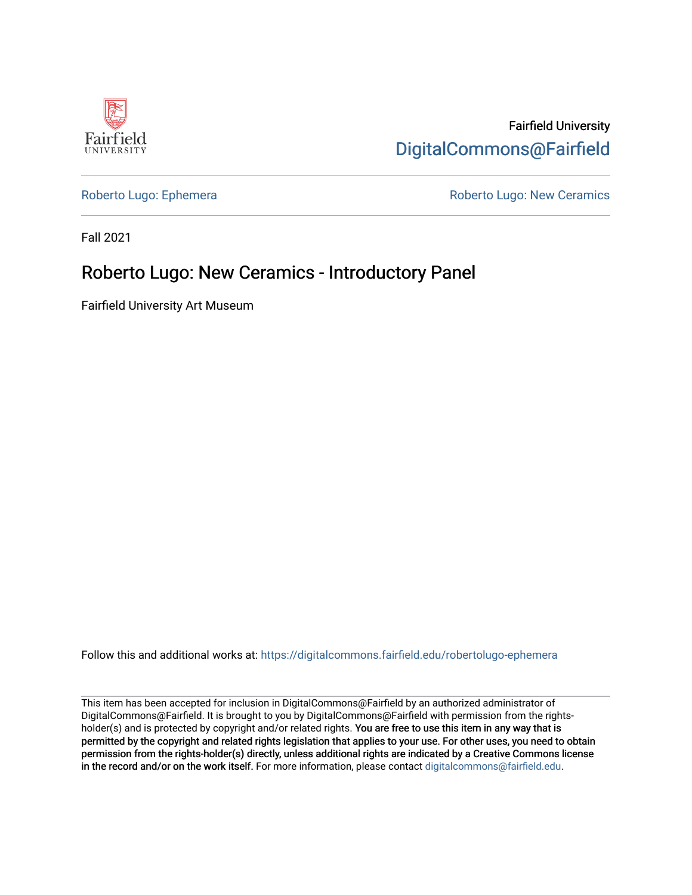

Fairfield University [DigitalCommons@Fairfield](https://digitalcommons.fairfield.edu/) 

[Roberto Lugo: Ephemera](https://digitalcommons.fairfield.edu/robertolugo-ephemera) **Roberto Lugo: New Ceramics** Roberto Lugo: New Ceramics

Fall 2021

#### Roberto Lugo: New Ceramics - Introductory Panel

Fairfield University Art Museum

Follow this and additional works at: [https://digitalcommons.fairfield.edu/robertolugo-ephemera](https://digitalcommons.fairfield.edu/robertolugo-ephemera?utm_source=digitalcommons.fairfield.edu%2Frobertolugo-ephemera%2F7&utm_medium=PDF&utm_campaign=PDFCoverPages) 

This item has been accepted for inclusion in DigitalCommons@Fairfield by an authorized administrator of DigitalCommons@Fairfield. It is brought to you by DigitalCommons@Fairfield with permission from the rightsholder(s) and is protected by copyright and/or related rights. You are free to use this item in any way that is permitted by the copyright and related rights legislation that applies to your use. For other uses, you need to obtain permission from the rights-holder(s) directly, unless additional rights are indicated by a Creative Commons license in the record and/or on the work itself. For more information, please contact [digitalcommons@fairfield.edu.](mailto:digitalcommons@fairfield.edu)